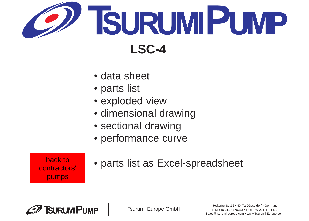<span id="page-0-0"></span>

- [data sheet](#page-1-0)
- [parts list](#page-2-0)
- [exploded view](#page-3-0)
- [dimensional drawing](#page-4-0)
- [sectional drawing](#page-5-0)
- [performance curve](#page-6-0)

back to contractors' pumps

• parts list as Excel-spreadsheet

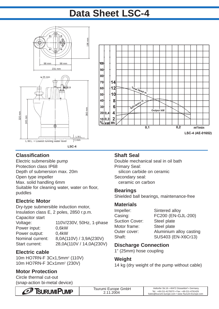# **Data Sheet LSC-4**

<span id="page-1-0"></span>



## **Classification**

Electric submersible pump Protection class IP68 Depth of submersion max. 20m Open type impeller Max. solid handling 6mm Suitable for cleaning water, water on floor, puddles

## **Electric Motor**

Dry-type submersible induction motor, Insulation class E, 2 poles, 2850 r.p.m. Capacitor start Voltage: 110V/230V, 50Hz, 1-phase Power input: 0,6kW Power output: 0,4kW Nominal current: 8,0A(110V) / 3,9A(230V) Start current: 28,0A(110V / 14,0A(230V)

## **Electric cable**

10m HO7RN-F 3Cx1,5mm2 (110V) 10m HO7RN-F 3Cx1mm2 (230V)

# **Motor Protection**

Circle thermal cut-out (snap-action bi-metal device)

### **Shaft Seal**

Double mechanical seal in oil bath Primary Seal: silicon carbide on ceramic Secondary seal: ceramic on carbon

### **Bearings**

Shielded ball bearings, maintenance-free

## **Materials**

| Sintered alloy          |
|-------------------------|
| FC200 (EN-GJL-200)      |
| Steel plate             |
| Steel plate             |
| Aluminium alloy casting |
| SUS403 (EN-X6Cr13)      |
|                         |

# **Discharge Connection**

1" (25mm) hose coupling

### **Weight**

14 kg (dry weight of the pump without cable)

| $\mathcal O$<br>TSURUMIPUMP | Tsurumi Europe GmbH | Heltorfer Str.16 • 40472 Düsseldorf • Germany<br>Tel.: +49-211-4179373 • Fax: +49-211-4791429 |
|-----------------------------|---------------------|-----------------------------------------------------------------------------------------------|
|                             | 2004                | Sales@tsurumi-europe.com • www.Tsurumi-Europe.com                                             |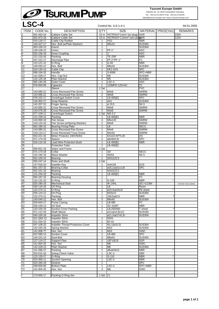# <span id="page-2-0"></span>Tsurumi Europe GmbH<br>
LSC-4<br>
Control No. ILS-1-4-1<br>
Control No. ILS-1-4-1<br>
Control No. ILS-1-4-1<br>
Control No. ILS-1-4-1<br>
Control No. ILS-1-4-1<br>
Control No. ILS-1-4-1<br>
Control No. ILS-1-4-1<br>
Control No. ILS-1-4-1<br>
Control No

**Tsurumi Europe GmbH**

Heltorfer Str. 16 • 40472 Düsseldorf • Germany Tel.: +49-211-4179373 • Fax: +49-211-4791429 Sales@tsurumi-europe.com • www.Tsurumi-Europe.com

| <b>ITEM</b> | CODE No.                 | <b>DESCRIPTION</b>                                            | Q'TY                    | SIZE                                         |                            | MATERIAL PRICE(Yen) | <b>REMARKS</b>      |
|-------------|--------------------------|---------------------------------------------------------------|-------------------------|----------------------------------------------|----------------------------|---------------------|---------------------|
|             | 001-453-18               | Cabtyre Cable Set                                             |                         | 10 m H07RN3X*1mm <sup>2</sup> (w/ plug) HAR  |                            |                     | 230V                |
|             | 001-873-18               | Cabtyre Cable Set                                             |                         | 10 m H07RN3X*1,5mm <sup>2</sup> (w/o plut)AR |                            |                     | 110V                |
| 2           | 010-126-17               | Cable Clip Rubber                                             | 1                       | HS <sub>2</sub>                              | <b>NBR</b>                 |                     |                     |
| 3           | 140-427-17               | Hex. Bolt (w/Plain Washer)                                    | $\overline{2}$          | M5x15                                        | <b>SUS304</b>              |                     |                     |
| 4           | 003-100-13               | Gland                                                         | 1                       |                                              | <b>SUS304</b>              |                     |                     |
| 5           | 128-109-12               | Union                                                         | $\mathbf{1}$            | <b>PF-1</b> "                                | <b>ADC</b>                 |                     |                     |
| 6           | 032-236-19               | <b>Hose Coupling</b>                                          | $\mathbf{1}$            | 1"                                           | <b>ADC</b>                 |                     |                     |
| 8           | 121-210-16<br>037-222-17 | Packing<br>Discharge Pipe                                     | 1<br>1                  | <b>TE-25R</b><br>PF-2"/PF-1"                 | <b>NBR</b><br>FC           |                     |                     |
| 9           | 122-121-12               | O-Ring                                                        | 1                       | $G-50$                                       | <b>NBR</b>                 |                     |                     |
| 10          | 140-033-12               | Hex. Bolt                                                     | $\overline{2}$          | M6x16                                        | <b>SUS304</b>              |                     |                     |
| 11          | 010-130-14               | Cable Clip                                                    | 1                       | HK2-4/15                                     | <b>SPC</b>                 |                     |                     |
| 12          | 068-164-32               | Handle                                                        | $\mathbf{1}$            | S-400K                                       | SPC+NBR                    |                     |                     |
| 13          | 141-028-17               | Hex. Cap Nut                                                  | 5                       | M <sub>5</sub>                               | <b>SUS304</b>              |                     |                     |
| 14          | 142-125-18               | Plain Washer                                                  | 4                       | M <sub>5</sub>                               | <b>SUS304</b>              |                     |                     |
| 15          | 065-194-29               | Outer Cover                                                   | 1                       | LSC-4                                        | <b>ADC</b>                 |                     |                     |
| 16          | 076-000-09               | Capacitor                                                     | 1                       | 120MFD-125VAC                                | $(\mathsf{T})$             |                     |                     |
| 17<br>18    |                          | Sleeve                                                        | 1 Set                   | M4x6                                         | <b>PVC</b><br><b>SWRM</b>  |                     |                     |
| 19          | 143-085-21<br>143-085-21 | Cross-Recessed Pan Screw<br>Cross Recessed Pan Screw          | 1<br>$\overline{2}$     | M4x6                                         | <b>SWRM</b>                |                     |                     |
| 20          | 078-102-17               | Centrifugal Switch Cover                                      | 1                       | $\overline{LB-400(E)}$                       | <b>SPC</b>                 |                     |                     |
| 21          | 145-002-17               | Snap Retainer                                                 | $\mathbf{1}$            | ø10                                          | <b>SUS304</b>              |                     |                     |
| 22          | 142-207-15               | <b>Finger Spring</b>                                          | 1                       | ø 10,5                                       | SK-5                       |                     |                     |
| 23          | 143-085-21               | Cross Recessed Pan Screw                                      | $\overline{2}$          | M4x6                                         | <b>SWRM</b>                |                     |                     |
| 24          | 143-076-29               | <b>Cross Recessed Pan Screw</b>                               | $\overline{2}$          | M3x6                                         | <b>SWRM</b>                |                     |                     |
| 25          | 077-109-11               | Centrifugal Switch                                            |                         | 1 Set MS-3-2                                 |                            |                     |                     |
| 26          | 121-249-14               | Packing                                                       | 1                       | $LB-400(E)$                                  | <b>NBR</b>                 |                     |                     |
| 27          | 143-093-19               | Pan Screw                                                     | 4                       | M5x125                                       | <b>SWRM</b>                |                     |                     |
| 28          | 143-124-10               | Pan Screw (w/Spring Washer)                                   | $\overline{2}$          | M4x6                                         | <b>SWRM</b>                |                     |                     |
| 29<br>30    | 062-185-15               | <b>Bearing Fixing Plate</b>                                   | 1                       | LB                                           | <b>SECC</b>                |                     |                     |
| 31          | 143-085-21<br>143-114-17 | Cross Recessed Pan Screw<br><b>Cross Recessed Truss Screw</b> | 1<br>$\overline{2}$     | M4x6<br>M4x16                                | <b>SWRM</b><br><b>SWRM</b> |                     |                     |
| 32          | 053-221-16               | Motor Protector 230V/50Hz                                     | 1                       | KA142-KPTL45                                 | (H)                        |                     |                     |
| 33          | 071-174-19               | Spacer                                                        | $\overline{\mathbf{c}}$ | ø6x6lx0,5t                                   | <b>SPC</b>                 |                     |                     |
| 34          | 016-110-16               | Lead Wire Protection Bush                                     | 1                       | LB-400(E)                                    | <b>NBR</b>                 |                     |                     |
| 35          |                          | <b>Protection Tube</b>                                        | $\mathbf{1}$            | $\overline{LB}$ -400(E)                      |                            |                     |                     |
| 36          | 056-651-18               | <b>Stator and Frame</b>                                       | 1 Set                   |                                              |                            |                     |                     |
| 37          | 071-173-18               | Collar                                                        | 1                       | 321                                          | <b>SECC</b>                |                     |                     |
| 38          | 142-192-16               | <b>Wave Washer</b>                                            | 1                       | #6201                                        | $SK-5$                     |                     |                     |
| 39          | 052-100-15               | Bearing                                                       | $\overline{1}$          | 6201ZZC3                                     |                            |                     |                     |
| 40          | 055-247-14               | Rotor and Shaft                                               | 1 Set                   |                                              |                            |                     |                     |
| 41          | 147-016-10               | <b>Impeller Key</b>                                           | 1                       | 4x4x10l                                      | SUS                        |                     |                     |
| 42<br>43    | 061-157-15<br>052-101-16 | <b>Bearing Collar</b><br>Bearing                              | 1<br>1                  | ø15,1xø21x1,6t<br>6202ZZC3                   | <b>SPC</b>                 |                     |                     |
| 44          | 121-244-19               | Packing                                                       | 1                       | $\overline{LB}$ -400(E)                      | <b>NBR</b>                 |                     |                     |
| 45          | 060-167-15               | <b>Bearing Housing</b>                                        | 1                       |                                              | FC                         |                     |                     |
| 46          | $122 - 131 - 15$         | O-Ring                                                        | 1                       | $G-100$                                      | <b>NBR</b>                 |                     |                     |
| 47          | 025-290-19               | <b>Mechanical Seal</b>                                        | 1                       | <b>W-14HL</b>                                | SIC+CCBN                   |                     | Oil (ISO VG2 220ml) |
| 48          | 030-116-16               | Oil Ring                                                      | $\mathbf{1}$            | LB                                           | Resin                      |                     |                     |
| 49          | 122-274-11               | O-Ring                                                        | 1                       | ø10,3xø16x2t                                 | PE-sheet                   |                     |                     |
| 50          | 035-124-12               | Oil Plug                                                      | 1                       | M10x15                                       | <b>SUS304</b>              |                     |                     |
| 51          | 122-274-11               | Packing                                                       | 1                       | 159,5xø2,5                                   | <b>NBR</b>                 |                     |                     |
| 52          | 140-040-12               | Hex. Bolt                                                     | 3                       | M6x40                                        | <b>SUS304</b>              |                     |                     |
| 53<br>54    | 020-644-17<br>026-100-14 | Pump Casing                                                   | 1<br>1                  | $LB-480$<br>SC-15287                         | FC<br><b>NBR</b>           |                     |                     |
| 55          | 120-100-19               | Oil Seal<br><b>Suction Cover Packing</b>                      | 1                       | LB-250/400                                   | T-sheet                    |                     |                     |
| 56          | 071-112-19               | Shaft Sleeve                                                  | 1                       | $\sqrt{611 \times 614,8 \times 111}$         | <b>SUS430</b>              |                     |                     |
| 57          | 040-100-18               | <b>Impeller Shim</b>                                          |                         | ø11,2xø17x0,3t                               | <b>SUS304</b>              |                     |                     |
| 58          | 021-Q62-12               | Impeller 50Hz                                                 | 1                       | 50Hz                                         |                            |                     |                     |
| 58          | 021-434-15               | Impeller 60Hz                                                 | 1                       | $60$ Hz                                      |                            |                     |                     |
| 59          | 047-108-20               | <b>Impeller Thread Protection Cover</b>                       | 1                       | $No.1(\varnothing10.5)$                      | <b>SUS304</b>              |                     |                     |
| 60          | 142-164-19               | Spring Washer                                                 | 1                       | M10                                          | <b>SUS304</b>              |                     |                     |
| 61          | 141-006-77               | Hex. Nut                                                      | 1                       | M10                                          | <b>S45C</b>                |                     |                     |
| 62          | 022-590-13               | <b>Suction Cover</b>                                          | 1                       | LB-480                                       | <b>SPC</b>                 |                     |                     |
| 63          | 144-101-14               | Stud Bolt                                                     | 3                       | M6x54                                        | <b>SUS403</b>              |                     |                     |
| 64          | 127-114-17               | Support Pipe                                                  | 3                       | 1/8"x28,5l                                   | SGP                        |                     |                     |
| 65<br>66    | 141-004-33<br>142-229-13 | Hex. Nut<br>Plain Washer                                      | 1<br>1                  | M <sub>6</sub><br>M <sub>6</sub>             | S35C<br><b>SUS304</b>      |                     |                     |
| 67          | 121-266-17               | Packing                                                       | 1                       | ø6xø16x1t                                    | <b>NBR</b>                 |                     |                     |
| 68          | 203-015-16               | Swing Check Valve                                             | 1                       | LSC-4                                        | <b>SBR</b>                 |                     |                     |
| 69          | 122-133-17               | O-Ring                                                        | 1                       | $G-110$                                      | <b>NBR</b>                 |                     |                     |
| 70          | 023-366-11               | <b>Suction Opening</b>                                        | 1                       | $LSC-4$                                      | <b>NBR</b>                 |                     |                     |
| 71          | 023-340-19               | Strainer                                                      | 1                       |                                              | <b>SPC</b>                 |                     |                     |
| 72          | 049-000-09               | <b>Bottom Plate</b>                                           | 1                       | LSC-4                                        | SPC+NBR                    |                     |                     |
|             |                          |                                                               |                         |                                              |                            |                     |                     |
| 73          | 141-004-33               | Hex. Nut                                                      | 3                       | M6                                           | S35C                       |                     |                     |
|             | 173-005-17               | Packing O-Ring Set                                            | 1 Set $(*)$             |                                              |                            |                     |                     |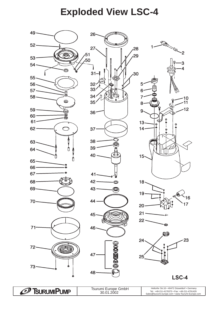# **Exploded View LSC-4**

<span id="page-3-0"></span>

*C* Tsurum Pump

Tsurumi Europe GmbH 30.01.2002

Heltorfer Str.16 • 40472 Düsseldorf • Germany Tel.: +49-211-4179373 • Fax: +49-211-4791429 Sales@tsurumi-europe.com • www.Tsurumi-Europe.com back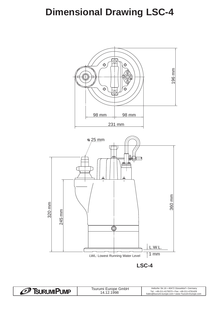# <span id="page-4-0"></span>**Dimensional Drawing LSC-4**



*C* Tsurum Pump Heltorfer Str.16 • 40472 Düsseldorf • Germany Tsurumi Europe GmbH 14.12.1998 Tel.: +49-211-4179373 • Fax: +49-211-4791429 Sales@tsurumi-europe.com • www.Tsurumi-Europe.com back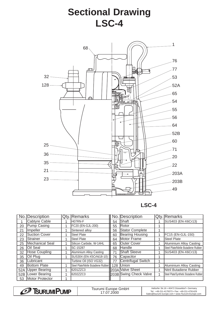# **Sectional Drawing LSC-4**

<span id="page-5-0"></span>

**LSC-4**

|     | No. Description      | <b>Qty.</b> Remarks                  |    | No. Description        | Qty. Remarks                           |
|-----|----------------------|--------------------------------------|----|------------------------|----------------------------------------|
|     | Cabtyre Cable        | <b>HO7RN-F</b>                       | 54 | Shaft                  | SUS403 (EN-X6Cr13)                     |
| 20  | Pump Casing          | FC20 (EN-GJL-200)                    | 55 | <b>IRotor</b>          |                                        |
| 21  | Impeller             | Sintered alloy                       | 56 | Stator Complete        |                                        |
| 22  | <b>Suction Cover</b> | Steel Plate                          | 60 | Bearing Housing        | FC15 (EN-GJL-150)                      |
| 23  | <b>IStrainer</b>     | Steel Plate                          | 64 | Motor Frame            | <b>Steel Plate</b>                     |
| 25  | Mechanical Seal      | Silicon Carbide, W-14HL              | 65 | Outer Cover            | Aluminium Alloy Casting                |
| 26  | <b>Oil Seal</b>      | <b>ISC-15287</b>                     | 68 | Handle                 | Steel Plate/Nitrile Butadiene Rubber   |
| 32  | Hose Coupling        | Aluminium Alloy Casting              | 71 | <b>Shaft Sleeve</b>    | SUS403 (EN-X6Cr13)                     |
| 35  | Oil Plug             | SUS304 (EN-X5CrNi18-10)              | 76 | Capacitor              |                                        |
| 36  | Lubricant            | Turbine Oil (ISO VG32)               | 77 | Centrifugal Switch     |                                        |
| 49  | <b>Bottom Plate</b>  | Steel Plate/Nitrile Butadiene Rubber |    | 128 Union              | Aluminium Alloy Casting                |
| 52A | Upper Bearing        | 6201ZZC3                             |    | 203A Valve Sheet       | <b>INitril Butadiene Rubber</b>        |
|     | 52B Lower Bearing    | 6202ZZC3                             |    | 203B Swing Check Valve | Steel Plate/Synthetic Butadiene Rubber |
| 53  | Motor Protector      |                                      |    |                        |                                        |

| <b>URUMIPUMP</b><br>DI. | GmbH<br><b>Surumi</b><br>Europe -<br>.2000 | Heltorfer Str.16 • 40472 Düsseldorf • Germany<br>Tel.: +49-211-4179373 • Fax: +49-211-4791429<br>Sales@tsurumi-europe.com • www.Tsurumi-Europe.com |  |
|-------------------------|--------------------------------------------|----------------------------------------------------------------------------------------------------------------------------------------------------|--|
|                         |                                            |                                                                                                                                                    |  |

 $\sqrt{ }$